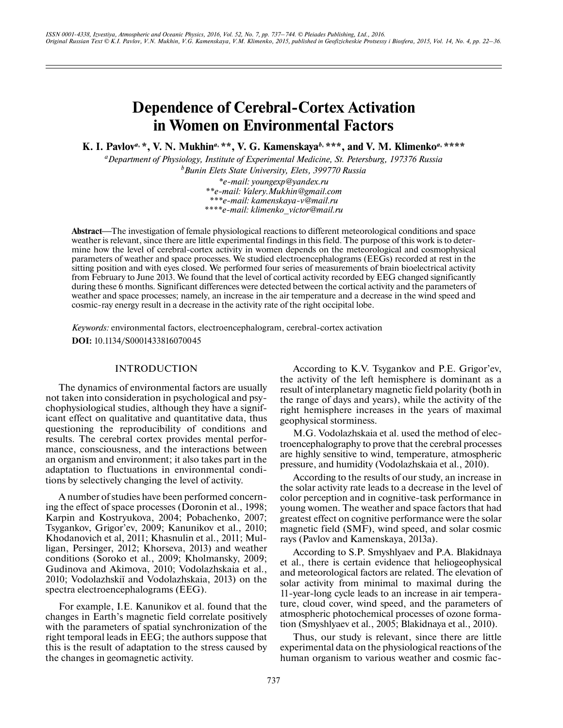# **Dependence of Cerebral-Cortex Activation in Women on Environmental Factors**

**K. I. Pavlov***a***, \*, V. N. Mukhin***a***, \*\*, V. G. Kamenskaya***b***, \*\*\*, and V. M. Klimenko***a***, \*\*\*\***

*a Department of Physiology, Institute of Experimental Medicine, St. Petersburg, 197376 Russia b Bunin Elets State University, Elets, 399770 Russia*

*\*e-mail: youngexp@yandex.ru \*\*e-mail: Valery.Mukhin@gmail.com \*\*\*e-mail: kamenskaya-v@mail.ru \*\*\*\*e-mail: klimenko\_victor@mail.ru*

Abstract—The investigation of female physiological reactions to different meteorological conditions and space weather is relevant, since there are little experimental findings in this field. The purpose of this work is to determine how the level of cerebral-cortex activity in women depends on the meteorological and cosmophysical parameters of weather and space processes. We studied electroencephalograms (EEGs) recorded at rest in the sitting position and with eyes closed. We performed four series of measurements of brain bioelectrical activity from February to June 2013. We found that the level of cortical activity recorded by EEG changed significantly during these 6 months. Significant differences were detected between the cortical activity and the parameters of weather and space processes; namely, an increase in the air temperature and a decrease in the wind speed and cosmic-ray energy result in a decrease in the activity rate of the right occipital lobe.

*Keywords:* environmental factors, electroencephalogram, cerebral-cortex activation **DOI:** 10.1134/S0001433816070045

## INTRODUCTION

The dynamics of environmental factors are usually not taken into consideration in psychological and psychophysiological studies, although they have a significant effect on qualitative and quantitative data, thus questioning the reproducibility of conditions and results. The cerebral cortex provides mental performance, consciousness, and the interactions between an organism and environment; it also takes part in the adaptation to fluctuations in environmental conditions by selectively changing the level of activity.

A number of studies have been performed concerning the effect of space processes (Doronin et al., 1998; Karpin and Kostryukova, 2004; Pobachenko, 2007; Tsygankov, Grigor'ev, 2009; Kanunikov et al., 2010; Khodanovich et al, 2011; Khasnulin et al., 2011; Mulligan, Persinger, 2012; Khorseva, 2013) and weather conditions (Soroko et al., 2009; Kholmansky, 2009; Gudinova and Akimova, 2010; Vodolazhskaia et al., 2010; Vodolazhskiĭ and Vodolazhskaia, 2013) on the spectra electroencephalograms (EEG).

For example, I.E. Kanunikov et al. found that the changes in Earth's magnetic field correlate positively with the parameters of spatial synchronization of the right temporal leads in EEG; the authors suppose that this is the result of adaptation to the stress caused by the changes in geomagnetic activity.

According to K.V. Tsygankov and P.E. Grigor'ev, the activity of the left hemisphere is dominant as a result of interplanetary magnetic field polarity (both in the range of days and years), while the activity of the right hemisphere increases in the years of maximal geophysical storminess.

M.G. Vodolazhskaia et al. used the method of electroencephalography to prove that the cerebral processes are highly sensitive to wind, temperature, atmospheric pressure, and humidity (Vodolazhskaia et al., 2010).

According to the results of our study, an increase in the solar activity rate leads to a decrease in the level of color perception and in cognitive-task performance in young women. The weather and space factors that had greatest effect on cognitive performance were the solar magnetic field (SMF), wind speed, and solar cosmic rays (Pavlov and Kamenskaya, 2013a).

According to S.P. Smyshlyaev and P.A. Blakidnaya et al., there is certain evidence that heliogeophysical and meteorological factors are related. The elevation of solar activity from minimal to maximal during the 11-year-long cycle leads to an increase in air temperature, cloud cover, wind speed, and the parameters of atmospheric photochemical processes of ozone formation (Smyshlyaev et al., 2005; Blakidnaya et al., 2010).

Thus, our study is relevant, since there are little experimental data on the physiological reactions of the human organism to various weather and cosmic fac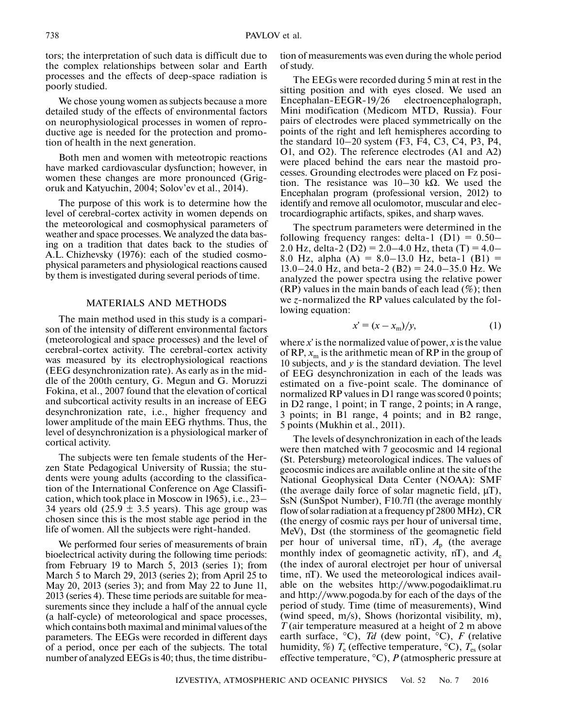tors; the interpretation of such data is difficult due to the complex relationships between solar and Earth processes and the effects of deep-space radiation is poorly studied.

We chose young women as subjects because a more detailed study of the effects of environmental factors on neurophysiological processes in women of reproductive age is needed for the protection and promotion of health in the next generation.

Both men and women with meteotropic reactions have marked cardiovascular dysfunction; however, in women these changes are more pronounced (Grigoruk and Katyuchin, 2004; Solov'ev et al., 2014).

The purpose of this work is to determine how the level of cerebral-cortex activity in women depends on the meteorological and cosmophysical parameters of weather and space processes. We analyzed the data basing on a tradition that dates back to the studies of A.L. Chizhevsky (1976): each of the studied cosmophysical parameters and physiological reactions caused by them is investigated during several periods of time.

## MATERIALS AND METHODS

The main method used in this study is a comparison of the intensity of different environmental factors (meteorological and space processes) and the level of cerebral-cortex activity. The cerebral-cortex activity was measured by its electrophysiological reactions (EEG desynchronization rate). As early as in the middle of the 200th century, G. Megun and G. Moruzzi Fokina, et al., 2007 found that the elevation of cortical and subcortical activity results in an increase of EEG desynchronization rate, i.e., higher frequency and lower amplitude of the main EEG rhythms. Thus, the level of desynchronization is a physiological marker of cortical activity.

The subjects were ten female students of the Herzen State Pedagogical University of Russia; the students were young adults (according to the classification of the International Conference on Age Classification, which took place in Moscow in 1965), i.e., 23– 34 years old  $(25.9 \pm 3.5 \text{ years})$ . This age group was chosen since this is the most stable age period in the life of women. All the subjects were right-handed.

We performed four series of measurements of brain bioelectrical activity during the following time periods: from February 19 to March 5, 2013 (series 1); from March 5 to March 29, 2013 (series 2); from April 25 to May 20, 2013 (series 3); and from May 22 to June 11, 2013 (series 4). These time periods are suitable for measurements since they include a half of the annual cycle (a half-cycle) of meteorological and space processes, which contains both maximal and minimal values of the parameters. The EEGs were recorded in different days of a period, once per each of the subjects. The total number of analyzed EEGs is 40; thus, the time distribution of measurements was even during the whole period of study.

The EEGs were recorded during 5 min at rest in the sitting position and with eyes closed. We used an Encephalan-EEGR-19/26 electroencephalograph, Mini modification (Medicom MTD, Russia). Four pairs of electrodes were placed symmetrically on the points of the right and left hemispheres according to the standard 10–20 system (F3, F4, C3, C4, P3, P4, O1, and O2). The reference electrodes (A1 and A2) were placed behind the ears near the mastoid processes. Grounding electrodes were placed on Fz position. The resistance was  $10-30$  kΩ. We used the Encephalan program (professional version, 2012) to identify and remove all oculomotor, muscular and electrocardiographic artifacts, spikes, and sharp waves.

The spectrum parameters were determined in the following frequency ranges: delta-1  $(D1) = 0.50-$ 2.0 Hz, delta-2 (D2) = 2.0–4.0 Hz, theta (T) = 4.0– 8.0 Hz, alpha  $(A) = 8.0 - 13.0$  Hz, beta-1  $(B1) =$  $13.0-24.0$  Hz, and beta-2 (B2) = 24.0-35.0 Hz. We analyzed the power spectra using the relative power  $(RP)$  values in the main bands of each lead  $(\%)$ ; then we *z*-normalized the RP values calculated by the following equation:

$$
x' = (x - xm)/y,
$$
 (1)

where *x*′ is the normalized value of power, *x* is the value of RP,  $x_m$  is the arithmetic mean of RP in the group of 10 subjects, and *y* is the standard deviation. The level of EEG desynchronization in each of the leads was estimated on a five-point scale. The dominance of normalized RP values in D1 range was scored 0 points; in D2 range, 1 point; in T range, 2 points; in A range, 3 points; in B1 range, 4 points; and in B2 range, 5 points (Mukhin et al., 2011).

The levels of desynchronization in each of the leads were then matched with 7 geocosmic and 14 regional (St. Petersburg) meteorological indices. The values of geocosmic indices are available online at the site of the National Geophysical Data Center (NOAA): SMF (the average daily force of solar magnetic field,  $\mu$ T), SsN (SunSpot Number), F10.7fl (the average monthly flow of solar radiation at a frequency pf 2800 MHz), CR (the energy of cosmic rays per hour of universal time, MeV), Dst (the storminess of the geomagnetic field per hour of universal time, nT),  $A_p$  (the average monthly index of geomagnetic activity, nT), and *A*<sup>e</sup> (the index of auroral electrojet per hour of universal time, nT). We used the meteorological indices available on the websites http://www.pogodaiklimat.ru and http://www.pogoda.by for each of the days of the period of study. Time (time of measurements), Wind (wind speed, m/s), Shows (horizontal visibility, m), *T* (air temperature measured at a height of 2 m above earth surface, °C), *Td* (dew point, °C), *F* (relative humidity, %)  $T_e$  (effective temperature,  $^{\circ}$ C),  $T_{es}$  (solar effective temperature, °C), *P* (atmospheric pressure at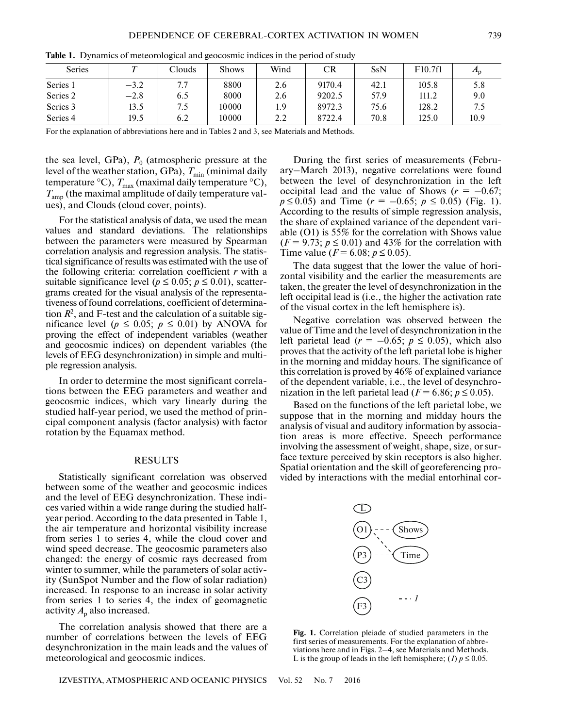| <b>Series</b> |        | Clouds | <b>Shows</b> | Wind | CR     | SsN  | F10.7f1 |      |
|---------------|--------|--------|--------------|------|--------|------|---------|------|
| Series 1      | $-3.2$ | 7.7    | 8800         | 2.6  | 9170.4 | 42.1 | 105.8   | 5.8  |
| Series 2      | $-2.8$ | 6.5    | 8000         | 2.6  | 9202.5 | 57.9 | 111.2   | 9.0  |
| Series 3      | 13.5   | 7.5    | 10000        | 1.9  | 8972.3 | 75.6 | 128.2   | 7.5  |
| Series 4      | 19.5   | 6.2    | 10000        | 2.2  | 8722.4 | 70.8 | 125.0   | 10.9 |

**Table 1.** Dynamics of meteorological and geocosmic indices in the period of study

For the explanation of abbreviations here and in Tables 2 and 3, see Materials and Methods.

the sea level, GPa),  $P_0$  (atmospheric pressure at the level of the weather station, GPa),  $T_{\text{min}}$  (minimal daily temperature  $\rm ^{o}C)$ ,  $T_{\rm max}$  (maximal daily temperature  $\rm ^{o}C)$ , *T*amp (the maximal amplitude of daily temperature values), and Clouds (cloud cover, points).

For the statistical analysis of data, we used the mean values and standard deviations. The relationships between the parameters were measured by Spearman correlation analysis and regression analysis. The statistical significance of results was estimated with the use of the following criteria: correlation coefficient *r* with a suitable significance level ( $p \le 0.05$ ;  $p \le 0.01$ ), scattergrams created for the visual analysis of the representativeness of found correlations, coefficient of determination  $R^2$ , and F-test and the calculation of a suitable significance level ( $p \le 0.05$ ;  $p \le 0.01$ ) by ANOVA for proving the effect of independent variables (weather and geocosmic indices) on dependent variables (the levels of EEG desynchronization) in simple and multiple regression analysis.

In order to determine the most significant correlations between the EEG parameters and weather and geocosmic indices, which vary linearly during the studied half-year period, we used the method of principal component analysis (factor analysis) with factor rotation by the Equamax method.

#### RESULTS

Statistically significant correlation was observed between some of the weather and geocosmic indices and the level of EEG desynchronization. These indices varied within a wide range during the studied halfyear period. According to the data presented in Table 1, the air temperature and horizontal visibility increase from series 1 to series 4, while the cloud cover and wind speed decrease. The geocosmic parameters also changed: the energy of cosmic rays decreased from winter to summer, while the parameters of solar activity (SunSpot Number and the flow of solar radiation) increased. In response to an increase in solar activity from series 1 to series 4, the index of geomagnetic activity  $A_p$  also increased.

The correlation analysis showed that there are a number of correlations between the levels of EEG desynchronization in the main leads and the values of meteorological and geocosmic indices.

IZVESTIYA, ATMOSPHERIC AND OCEANIC PHYSICS Vol. 52 No. 7 2016

During the first series of measurements (February–March 2013), negative correlations were found between the level of desynchronization in the left occipital lead and the value of Shows ( $r = -0.67$ ;  $p \le 0.05$ ) and Time ( $r = -0.65$ ;  $p \le 0.05$ ) (Fig. 1). According to the results of simple regression analysis, the share of explained variance of the dependent variable (O1) is 55% for the correlation with Shows value  $(F = 9.73; p \le 0.01)$  and 43% for the correlation with Time value ( $F = 6.08$ ;  $p \le 0.05$ ).

The data suggest that the lower the value of horizontal visibility and the earlier the measurements are taken, the greater the level of desynchronization in the left occipital lead is (i.e., the higher the activation rate of the visual cortex in the left hemisphere is).

Negative correlation was observed between the value of Time and the level of desynchronization in the left parietal lead ( $r = -0.65$ ;  $p \le 0.05$ ), which also proves that the activity of the left parietal lobe is higher in the morning and midday hours. The significance of this correlation is proved by 46% of explained variance of the dependent variable, i.e., the level of desynchronization in the left parietal lead ( $F = 6.86$ ;  $p \le 0.05$ ).

Based on the functions of the left parietal lobe, we suppose that in the morning and midday hours the analysis of visual and auditory information by association areas is more effective. Speech performance involving the assessment of weight, shape, size, or surface texture perceived by skin receptors is also higher. Spatial orientation and the skill of georeferencing provided by interactions with the medial entorhinal cor-



**Fig. 1.** Correlation pleiade of studied parameters in the first series of measurements. For the explanation of abbreviations here and in Figs. 2–4, see Materials and Methods. L is the group of leads in the left hemisphere; (*1*)  $p \le 0.05$ .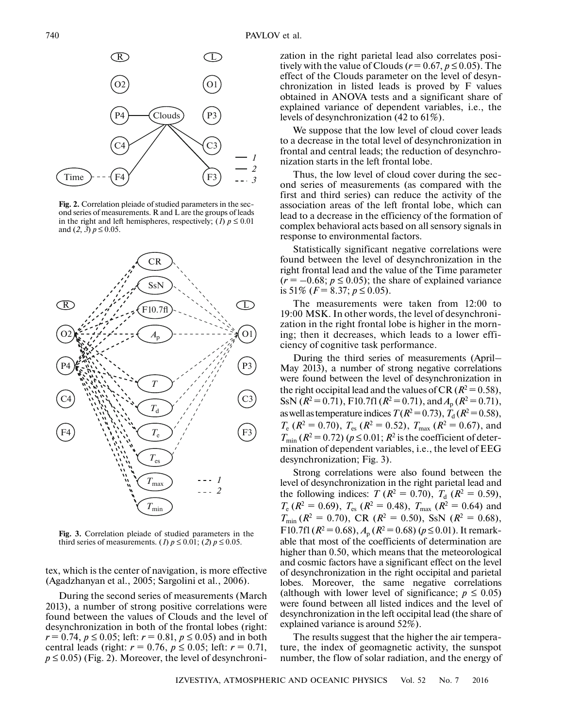

**Fig. 2.** Correlation pleiade of studied parameters in the second series of measurements. R and L are the groups of leads in the right and left hemispheres, respectively; (*I*)  $p \le 0.01$ and  $(2, 3)$   $p \le 0.05$ .



**Fig. 3.** Correlation pleiade of studied parameters in the third series of measurements. (*1*)  $p \le 0.01$ ; (*2*)  $p \le 0.05$ .

tex, which is the center of navigation, is more effective (Agadzhanyan et al., 2005; Sargolini et al., 2006).

During the second series of measurements (March 2013), a number of strong positive correlations were found between the values of Clouds and the level of desynchronization in both of the frontal lobes (right:  $r = 0.74$ ,  $p \le 0.05$ ; left:  $r = 0.81$ ,  $p \le 0.05$ ) and in both central leads (right:  $r = 0.76$ ,  $p \le 0.05$ ; left:  $r = 0.71$ ,  $p \le 0.05$ ) (Fig. 2). Moreover, the level of desynchronization in the right parietal lead also correlates positively with the value of Clouds ( $r = 0.67$ ,  $p \le 0.05$ ). The effect of the Clouds parameter on the level of desynchronization in listed leads is proved by F values obtained in ANOVA tests and a significant share of explained variance of dependent variables, i.e., the levels of desynchronization (42 to 61%).

We suppose that the low level of cloud cover leads to a decrease in the total level of desynchronization in frontal and central leads; the reduction of desynchronization starts in the left frontal lobe.

Thus, the low level of cloud cover during the second series of measurements (as compared with the first and third series) can reduce the activity of the association areas of the left frontal lobe, which can lead to a decrease in the efficiency of the formation of complex behavioral acts based on all sensory signals in response to environmental factors.

Statistically significant negative correlations were found between the level of desynchronization in the right frontal lead and the value of the Time parameter  $(r = -0.68; p \le 0.05)$ ; the share of explained variance is 51\%  $(F = 8.37; p \le 0.05)$ .

The measurements were taken from 12:00 to 19:00 MSK. In other words, the level of desynchronization in the right frontal lobe is higher in the morning; then it decreases, which leads to a lower efficiency of cognitive task performance.

During the third series of measurements (April– May 2013), a number of strong negative correlations were found between the level of desynchronization in the right occipital lead and the values of CR  $(R^2 = 0.58)$ , SsN ( $R^2 = 0.71$ ), F10.7fl ( $R^2 = 0.71$ ), and  $A_p$  ( $R^2 = 0.71$ ), as well as temperature indices  $T(R^2=0.73)$ ,  $T_d(R^2=0.58)$ ,  $T_e$  ( $R^2 = 0.70$ ),  $T_{es}$  ( $R^2 = 0.52$ ),  $T_{max}$  ( $R^2 = 0.67$ ), and  $T_{\text{min}}$  ( $R^2$  = 0.72) ( $p \le 0.01$ ;  $R^2$  is the coefficient of determination of dependent variables, i.e., the level of EEG desynchronization; Fig. 3).

Strong correlations were also found between the level of desynchronization in the right parietal lead and the following indices: *T* ( $R^2 = 0.70$ ),  $T_d$  ( $R^2 = 0.59$ ),  $T_e$  ( $R^2 = 0.69$ ),  $T_{es}$  ( $R^2 = 0.48$ ),  $T_{max}$  ( $R^2 = 0.64$ ) and  $T_{\text{min}}$  ( $R^2 = 0.70$ ), CR ( $R^2 = 0.50$ ), SsN ( $R^2 = 0.68$ ), F10.7fl ( $R^2 = 0.68$ ),  $A_p$  ( $R^2 = 0.68$ ) ( $p \le 0.01$ ). It remarkable that most of the coefficients of determination are higher than 0.50, which means that the meteorological and cosmic factors have a significant effect on the level of desynchronization in the right occipital and parietal lobes. Moreover, the same negative correlations (although with lower level of significance;  $p \leq 0.05$ ) were found between all listed indices and the level of desynchronization in the left occipital lead (the share of explained variance is around 52%).

The results suggest that the higher the air temperature, the index of geomagnetic activity, the sunspot number, the flow of solar radiation, and the energy of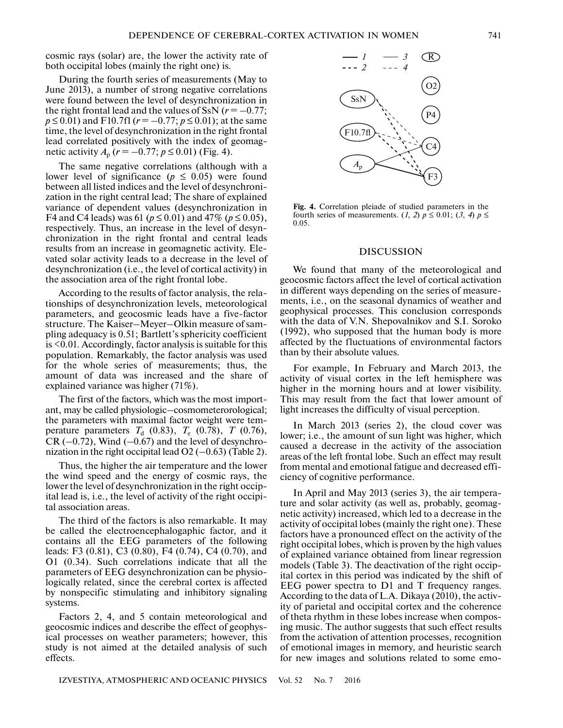cosmic rays (solar) are, the lower the activity rate of both occipital lobes (mainly the right one) is.

During the fourth series of measurements (May to June 2013), a number of strong negative correlations were found between the level of desynchronization in the right frontal lead and the values of SsN  $(r = -0.77)$ ;  $p \le 0.01$ ) and F10.7fl ( $r = -0.77$ ;  $p \le 0.01$ ); at the same time, the level of desynchronization in the right frontal lead correlated positively with the index of geomagnetic activity  $A_p$  ( $r = -0.77$ ;  $p \le 0.01$ ) (Fig. 4).

The same negative correlations (although with a lower level of significance ( $p \leq 0.05$ ) were found between all listed indices and the level of desynchronization in the right central lead; The share of explained variance of dependent values (desynchronization in F4 and C4 leads) was 61 ( $p \le 0.01$ ) and 47% ( $p \le 0.05$ ), respectively. Thus, an increase in the level of desynchronization in the right frontal and central leads results from an increase in geomagnetic activity. Elevated solar activity leads to a decrease in the level of desynchronization (i.e., the level of cortical activity) in the association area of the right frontal lobe.

According to the results of factor analysis, the relationships of desynchronization levels, meteorological parameters, and geocosmic leads have a five-factor structure. The Kaiser–Meyer–Olkin measure of sampling adequacy is 0.51; Bartlett's sphericity coefficient is <0.01. Accordingly, factor analysis is suitable for this population. Remarkably, the factor analysis was used for the whole series of measurements; thus, the amount of data was increased and the share of explained variance was higher (71%).

The first of the factors, which was the most important, may be called physiologic–cosmometerorological; the parameters with maximal factor weight were temperature parameters  $T_d$  (0.83),  $T_e$  (0.78),  $T$  (0.76),  $CR$  (-0.72), Wind (-0.67) and the level of desynchronization in the right occipital lead  $O2$  (-0.63) (Table 2).

Thus, the higher the air temperature and the lower the wind speed and the energy of cosmic rays, the lower the level of desynchronization in the right occipital lead is, i.e., the level of activity of the right occipital association areas.

The third of the factors is also remarkable. It may be called the electroencephalogaphic factor, and it contains all the EEG parameters of the following leads: F3 (0.81), C3 (0.80), F4 (0.74), C4 (0.70), and O1 (0.34). Such correlations indicate that all the parameters of EEG desynchronization can be physiologically related, since the cerebral cortex is affected by nonspecific stimulating and inhibitory signaling systems.

Factors 2, 4, and 5 contain meteorological and geocosmic indices and describe the effect of geophysical processes on weather parameters; however, this study is not aimed at the detailed analysis of such effects.



**Fig. 4.** Correlation pleiade of studied parameters in the fourth series of measurements. (*1*, *2*)  $p \le 0.01$ ; (*3*, *4*)  $p \le$ 0.05.

#### DISCUSSION

We found that many of the meteorological and geocosmic factors affect the level of cortical activation in different ways depending on the series of measurements, i.e., on the seasonal dynamics of weather and geophysical processes. This conclusion corresponds with the data of V.N. Shepovalnikov and S.I. Soroko (1992), who supposed that the human body is more affected by the fluctuations of environmental factors than by their absolute values.

For example, In February and March 2013, the activity of visual cortex in the left hemisphere was higher in the morning hours and at lower visibility. This may result from the fact that lower amount of light increases the difficulty of visual perception.

In March 2013 (series 2), the cloud cover was lower; i.e., the amount of sun light was higher, which caused a decrease in the activity of the association areas of the left frontal lobe. Such an effect may result from mental and emotional fatigue and decreased efficiency of cognitive performance.

In April and May 2013 (series 3), the air temperature and solar activity (as well as, probably, geomagnetic activity) increased, which led to a decrease in the activity of occipital lobes (mainly the right one). These factors have a pronounced effect on the activity of the right occipital lobes, which is proven by the high values of explained variance obtained from linear regression models (Table 3). The deactivation of the right occipital cortex in this period was indicated by the shift of EEG power spectra to D1 and T frequency ranges. According to the data of L.A. Dikaya (2010), the activity of parietal and occipital cortex and the coherence of theta rhythm in these lobes increase when composing music. The author suggests that such effect results from the activation of attention processes, recognition of emotional images in memory, and heuristic search for new images and solutions related to some emo-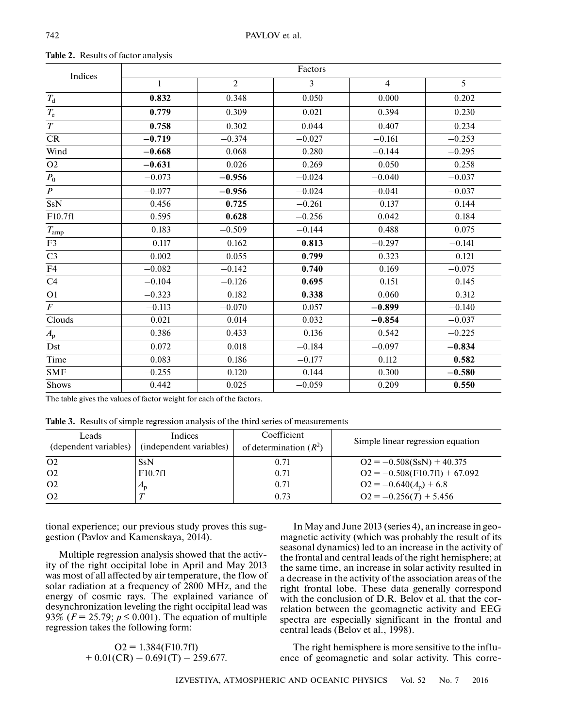| Indices        | Factors  |                |          |                |                |  |  |  |
|----------------|----------|----------------|----------|----------------|----------------|--|--|--|
|                | 1        | $\overline{2}$ | 3        | $\overline{4}$ | $\overline{5}$ |  |  |  |
| $T_{\rm d}$    | 0.832    | 0.348          | 0.050    | 0.000          | 0.202          |  |  |  |
| $T_{\rm e}$    | 0.779    | 0.309          | 0.021    | 0.394          | 0.230          |  |  |  |
| $\cal T$       | 0.758    | 0.302          | 0.044    | 0.407          | 0.234          |  |  |  |
| CR             | $-0.719$ | $-0.374$       | $-0.027$ | $-0.161$       | $-0.253$       |  |  |  |
| Wind           | $-0.668$ | 0.068          | 0.280    | $-0.144$       | $-0.295$       |  |  |  |
| O2             | $-0.631$ | 0.026          | 0.269    | 0.050          | 0.258          |  |  |  |
| $P_0$          | $-0.073$ | $-0.956$       | $-0.024$ | $-0.040$       | $-0.037$       |  |  |  |
| $\overline{P}$ | $-0.077$ | $-0.956$       | $-0.024$ | $-0.041$       | $-0.037$       |  |  |  |
| <b>SsN</b>     | 0.456    | 0.725          | $-0.261$ | 0.137          | 0.144          |  |  |  |
| F10.7f1        | 0.595    | 0.628          | $-0.256$ | 0.042          | 0.184          |  |  |  |
| $T_{\rm amp}$  | 0.183    | $-0.509$       | $-0.144$ | 0.488          | 0.075          |  |  |  |
| F <sub>3</sub> | 0.117    | 0.162          | 0.813    | $-0.297$       | $-0.141$       |  |  |  |
| C <sub>3</sub> | 0.002    | 0.055          | 0.799    | $-0.323$       | $-0.121$       |  |  |  |
| F4             | $-0.082$ | $-0.142$       | 0.740    | 0.169          | $-0.075$       |  |  |  |
| C4             | $-0.104$ | $-0.126$       | 0.695    | 0.151          | 0.145          |  |  |  |
| O <sub>1</sub> | $-0.323$ | 0.182          | 0.338    | 0.060          | 0.312          |  |  |  |
| $\overline{F}$ | $-0.113$ | $-0.070$       | 0.057    | $-0.899$       | $-0.140$       |  |  |  |
| Clouds         | 0.021    | 0.014          | 0.032    | $-0.854$       | $-0.037$       |  |  |  |
| $A_{\rm p}$    | 0.386    | 0.433          | 0.136    | 0.542          | $-0.225$       |  |  |  |
| Dst            | 0.072    | 0.018          | $-0.184$ | $-0.097$       | $-0.834$       |  |  |  |
| Time           | 0.083    | 0.186          | $-0.177$ | 0.112          | 0.582          |  |  |  |
| <b>SMF</b>     | $-0.255$ | 0.120          | 0.144    | 0.300          | $-0.580$       |  |  |  |
| Shows          | 0.442    | 0.025          | $-0.059$ | 0.209          | 0.550          |  |  |  |

**Table 2.** Results of factor analysis

The table gives the values of factor weight for each of the factors.

**Table 3.** Results of simple regression analysis of the third series of measurements

| Leads<br>(dependent variables) | Indices<br>(independent variables) | Coefficient<br>of determination $(R^2)$ | Simple linear regression equation |
|--------------------------------|------------------------------------|-----------------------------------------|-----------------------------------|
| O <sub>2</sub>                 | <b>SsN</b>                         | 0.71                                    | $Q_2 = -0.508(SsN) + 40.375$      |
| O <sub>2</sub>                 | F10.7f1                            | 0.71                                    | $Q2 = -0.508$ (F10.7fl) + 67.092  |
| O <sub>2</sub>                 | $A_{\rm D}$                        | 0.71                                    | $Q_2 = -0.640(A_p) + 6.8$         |
| O <sub>2</sub>                 |                                    | 0.73                                    | $Q_2 = -0.256(T) + 5.456$         |

tional experience; our previous study proves this suggestion (Pavlov and Kamenskaya, 2014).

Multiple regression analysis showed that the activity of the right occipital lobe in April and May 2013 was most of all affected by air temperature, the flow of solar radiation at a frequency of 2800 MHz, and the energy of cosmic rays. The explained variance of desynchronization leveling the right occipital lead was 93% ( $F = 25.79$ ;  $p \le 0.001$ ). The equation of multiple regression takes the following form:

> $O2 = 1.384$ (F10.7fl)  $+ 0.01(CR) - 0.691(T) - 259.677.$

In May and June 2013 (series 4), an increase in geomagnetic activity (which was probably the result of its seasonal dynamics) led to an increase in the activity of the frontal and central leads of the right hemisphere; at the same time, an increase in solar activity resulted in a decrease in the activity of the association areas of the right frontal lobe. These data generally correspond with the conclusion of D.R. Belov et al. that the correlation between the geomagnetic activity and EEG spectra are especially significant in the frontal and central leads (Belov et al., 1998).

The right hemisphere is more sensitive to the influence of geomagnetic and solar activity. This corre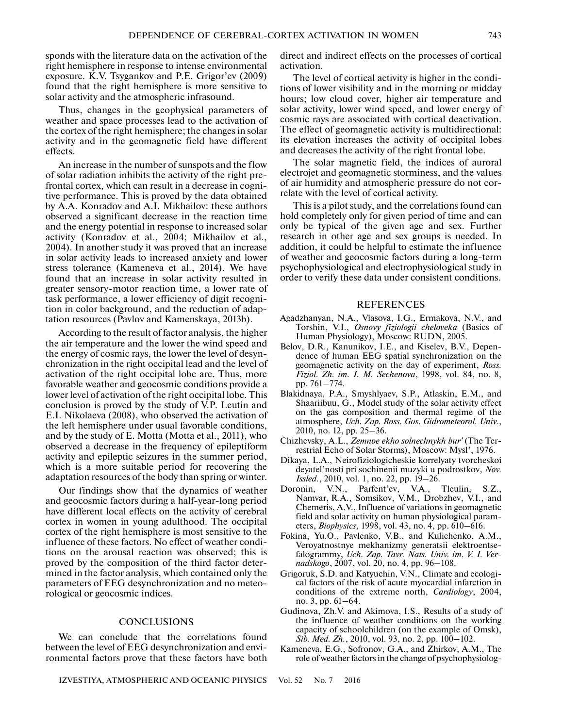sponds with the literature data on the activation of the right hemisphere in response to intense environmental exposure. K.V. Tsygankov and P.E. Grigor'ev (2009) found that the right hemisphere is more sensitive to solar activity and the atmospheric infrasound.

Thus, changes in the geophysical parameters of weather and space processes lead to the activation of the cortex of the right hemisphere; the changes in solar activity and in the geomagnetic field have different effects.

An increase in the number of sunspots and the flow of solar radiation inhibits the activity of the right prefrontal cortex, which can result in a decrease in cognitive performance. This is proved by the data obtained by A.A. Konradov and A.I. Mikhailov: these authors observed a significant decrease in the reaction time and the energy potential in response to increased solar activity (Konradov et al., 2004; Mikhailov et al., 2004). In another study it was proved that an increase in solar activity leads to increased anxiety and lower stress tolerance (Kameneva et al., 2014). We have found that an increase in solar activity resulted in greater sensory-motor reaction time, a lower rate of task performance, a lower efficiency of digit recognition in color background, and the reduction of adaptation resources (Pavlov and Kamenskaya, 2013b).

According to the result of factor analysis, the higher the air temperature and the lower the wind speed and the energy of cosmic rays, the lower the level of desynchronization in the right occipital lead and the level of activation of the right occipital lobe are. Thus, more favorable weather and geocosmic conditions provide a lower level of activation of the right occipital lobe. This conclusion is proved by the study of V.P. Leutin and E.I. Nikolaeva (2008), who observed the activation of the left hemisphere under usual favorable conditions, and by the study of E. Motta (Motta et al., 2011), who observed a decrease in the frequency of epileptiform activity and epileptic seizures in the summer period, which is a more suitable period for recovering the adaptation resources of the body than spring or winter.

Our findings show that the dynamics of weather and geocosmic factors during a half-year-long period have different local effects on the activity of cerebral cortex in women in young adulthood. The occipital cortex of the right hemisphere is most sensitive to the influence of these factors. No effect of weather conditions on the arousal reaction was observed; this is proved by the composition of the third factor determined in the factor analysis, which contained only the parameters of EEG desynchronization and no meteorological or geocosmic indices.

## **CONCLUSIONS**

We can conclude that the correlations found between the level of EEG desynchronization and environmental factors prove that these factors have both direct and indirect effects on the processes of cortical activation.

The level of cortical activity is higher in the conditions of lower visibility and in the morning or midday hours; low cloud cover, higher air temperature and solar activity, lower wind speed, and lower energy of cosmic rays are associated with cortical deactivation. The effect of geomagnetic activity is multidirectional: its elevation increases the activity of occipital lobes and decreases the activity of the right frontal lobe.

The solar magnetic field, the indices of auroral electrojet and geomagnetic storminess, and the values of air humidity and atmospheric pressure do not correlate with the level of cortical activity.

This is a pilot study, and the correlations found can hold completely only for given period of time and can only be typical of the given age and sex. Further research in other age and sex groups is needed. In addition, it could be helpful to estimate the influence of weather and geocosmic factors during a long-term psychophysiological and electrophysiological study in order to verify these data under consistent conditions.

#### REFERENCES

- Agadzhanyan, N.A., Vlasova, I.G., Ermakova, N.V., and Torshin, V.I., *Osnovy fiziologii cheloveka* (Basics of Human Physiology), Moscow: RUDN, 2005.
- Belov, D.R., Kanunikov, I.E., and Kiselev, B.V., Dependence of human EEG spatial synchronization on the geomagnetic activity on the day of experiment, *Ross. Fiziol. Zh. im. I. M. Sechenova*, 1998, vol. 84, no. 8, pp. 761–774.
- Blakidnaya, P.A., Smyshlyaev, S.P., Atlaskin, E.M., and Shaariibuu, G., Model study of the solar activity effect on the gas composition and thermal regime of the atmosphere, *Uch. Zap. Ross. Gos. Gidrometeorol. Univ.*, 2010, no. 12, pp. 25–36.
- Chizhevsky, A.L., *Zemnoe ekho solnechnykh bur'* (The Terrestrial Echo of Solar Storms), Moscow: Mysl', 1976.
- Dikaya, L.A., Neirofiziologicheskie korrelyaty tvorcheskoi deyatel'nosti pri sochinenii muzyki u podrostkov, *Nov. Issled.*, 2010, vol. 1, no. 22, pp. 19–26.
- Doronin, V.N., Parfent'ev, V.A., Tleulin, S.Z., Namvar, R.A., Somsikov, V.M., Drobzhev, V.I., and Chemeris, A.V., Influence of variations in geomagnetic field and solar activity on human physiological parameters, *Biophysics*, 1998, vol. 43, no. 4, pp. 610–616.
- Fokina, Yu.O., Pavlenko, V.B., and Kulichenko, A.M., Veroyatnostnye mekhanizmy generatsii elektroentsefalogrammy, *Uch. Zap. Tavr. Nats. Univ. im. V. I. Vernadskogo*, 2007, vol. 20, no. 4, pp. 96–108.
- Grigoruk, S.D. and Katyuchin, V.N., Climate and ecological factors of the risk of acute myocardial infarction in conditions of the extreme north, *Cardiology*, 2004, no. 3, pp. 61–64.
- Gudinova, Zh.V. and Akimova, I.S., Results of a study of the influence of weather conditions on the working capacity of schoolchildren (on the example of Omsk), *Sib. Med. Zh.*, 2010, vol. 93, no. 2, pp. 100–102.
- Kameneva, E.G., Sofronov, G.A., and Zhirkov, A.M., The role of weather factors in the change of psychophysiolog-